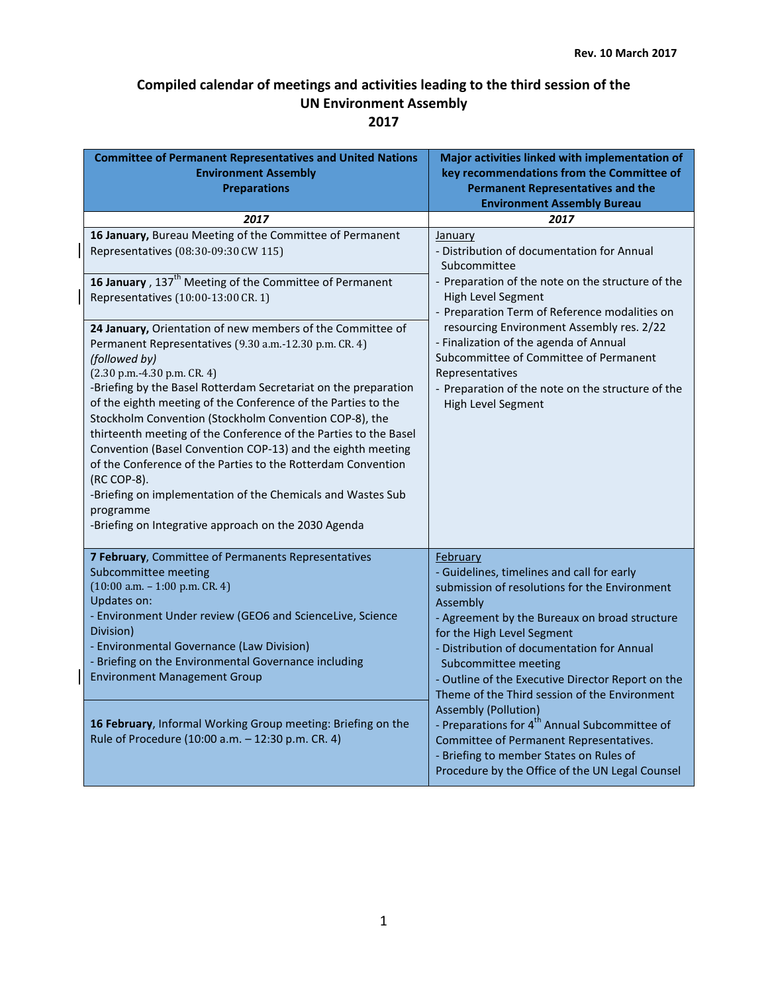| <b>Committee of Permanent Representatives and United Nations</b><br><b>Environment Assembly</b><br><b>Preparations</b>                                                                                                                                                                                                                                                                                                                                                                                                                                                                                                                                                                                                      | Major activities linked with implementation of<br>key recommendations from the Committee of<br><b>Permanent Representatives and the</b><br><b>Environment Assembly Bureau</b>                                                                                                                                                                                                                                                                                                                                                                                                                                       |
|-----------------------------------------------------------------------------------------------------------------------------------------------------------------------------------------------------------------------------------------------------------------------------------------------------------------------------------------------------------------------------------------------------------------------------------------------------------------------------------------------------------------------------------------------------------------------------------------------------------------------------------------------------------------------------------------------------------------------------|---------------------------------------------------------------------------------------------------------------------------------------------------------------------------------------------------------------------------------------------------------------------------------------------------------------------------------------------------------------------------------------------------------------------------------------------------------------------------------------------------------------------------------------------------------------------------------------------------------------------|
| 2017                                                                                                                                                                                                                                                                                                                                                                                                                                                                                                                                                                                                                                                                                                                        | 2017                                                                                                                                                                                                                                                                                                                                                                                                                                                                                                                                                                                                                |
| 16 January, Bureau Meeting of the Committee of Permanent<br>Representatives (08:30-09:30 CW 115)                                                                                                                                                                                                                                                                                                                                                                                                                                                                                                                                                                                                                            | January<br>- Distribution of documentation for Annual<br>Subcommittee                                                                                                                                                                                                                                                                                                                                                                                                                                                                                                                                               |
| 16 January, 137 <sup>th</sup> Meeting of the Committee of Permanent<br>Representatives (10:00-13:00 CR. 1)                                                                                                                                                                                                                                                                                                                                                                                                                                                                                                                                                                                                                  | - Preparation of the note on the structure of the<br>High Level Segment<br>- Preparation Term of Reference modalities on                                                                                                                                                                                                                                                                                                                                                                                                                                                                                            |
| 24 January, Orientation of new members of the Committee of<br>Permanent Representatives (9.30 a.m.-12.30 p.m. CR. 4)<br>(followed by)<br>$(2.30 p.m. -4.30 p.m. CR. 4)$<br>-Briefing by the Basel Rotterdam Secretariat on the preparation<br>of the eighth meeting of the Conference of the Parties to the<br>Stockholm Convention (Stockholm Convention COP-8), the<br>thirteenth meeting of the Conference of the Parties to the Basel<br>Convention (Basel Convention COP-13) and the eighth meeting<br>of the Conference of the Parties to the Rotterdam Convention<br>(RC COP-8).<br>-Briefing on implementation of the Chemicals and Wastes Sub<br>programme<br>-Briefing on Integrative approach on the 2030 Agenda | resourcing Environment Assembly res. 2/22<br>- Finalization of the agenda of Annual<br>Subcommittee of Committee of Permanent<br>Representatives<br>- Preparation of the note on the structure of the<br>High Level Segment                                                                                                                                                                                                                                                                                                                                                                                         |
| 7 February, Committee of Permanents Representatives<br>Subcommittee meeting<br>$(10:00 a.m. - 1:00 p.m. CR. 4)$<br><b>Updates on:</b><br>- Environment Under review (GEO6 and ScienceLive, Science<br>Division)<br>- Environmental Governance (Law Division)<br>- Briefing on the Environmental Governance including<br><b>Environment Management Group</b>                                                                                                                                                                                                                                                                                                                                                                 | February<br>- Guidelines, timelines and call for early<br>submission of resolutions for the Environment<br>Assembly<br>- Agreement by the Bureaux on broad structure<br>for the High Level Segment<br>- Distribution of documentation for Annual<br>Subcommittee meeting<br>- Outline of the Executive Director Report on the<br>Theme of the Third session of the Environment<br><b>Assembly (Pollution)</b><br>- Preparations for 4 <sup>th</sup> Annual Subcommittee of<br>Committee of Permanent Representatives.<br>- Briefing to member States on Rules of<br>Procedure by the Office of the UN Legal Counsel |
| 16 February, Informal Working Group meeting: Briefing on the<br>Rule of Procedure (10:00 a.m. - 12:30 p.m. CR. 4)                                                                                                                                                                                                                                                                                                                                                                                                                                                                                                                                                                                                           |                                                                                                                                                                                                                                                                                                                                                                                                                                                                                                                                                                                                                     |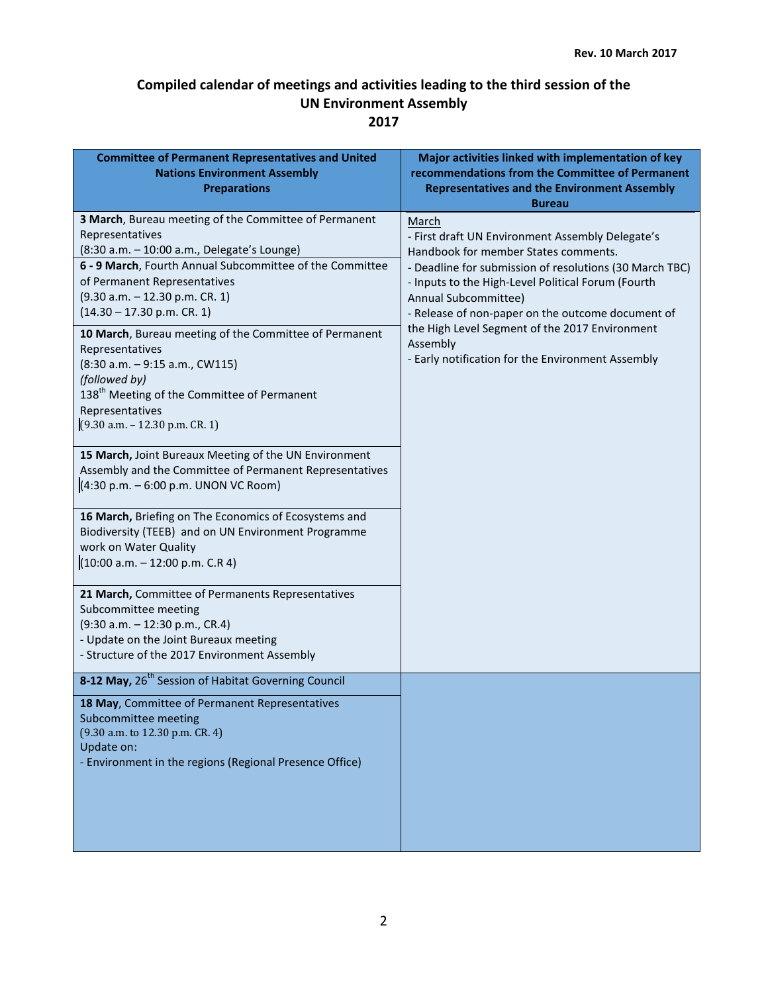| <b>Committee of Permanent Representatives and United</b><br><b>Nations Environment Assembly</b><br><b>Preparations</b>                                                                                                                                                                                                                                                                                                                                                                                                                                                                                                                                                                                                                                                                                                                                                                                                                                                                                                                  | Major activities linked with implementation of key<br>recommendations from the Committee of Permanent<br><b>Representatives and the Environment Assembly</b><br><b>Bureau</b>                                                                                                                                                                                                                                      |
|-----------------------------------------------------------------------------------------------------------------------------------------------------------------------------------------------------------------------------------------------------------------------------------------------------------------------------------------------------------------------------------------------------------------------------------------------------------------------------------------------------------------------------------------------------------------------------------------------------------------------------------------------------------------------------------------------------------------------------------------------------------------------------------------------------------------------------------------------------------------------------------------------------------------------------------------------------------------------------------------------------------------------------------------|--------------------------------------------------------------------------------------------------------------------------------------------------------------------------------------------------------------------------------------------------------------------------------------------------------------------------------------------------------------------------------------------------------------------|
| 3 March, Bureau meeting of the Committee of Permanent<br>Representatives<br>(8:30 a.m. - 10:00 a.m., Delegate's Lounge)<br>6 - 9 March, Fourth Annual Subcommittee of the Committee<br>of Permanent Representatives<br>(9.30 a.m. - 12.30 p.m. CR. 1)<br>$(14.30 - 17.30 p.m. CR. 1)$<br>10 March, Bureau meeting of the Committee of Permanent<br>Representatives<br>(8:30 a.m. - 9:15 a.m., CW115)<br>(followed by)<br>138 <sup>th</sup> Meeting of the Committee of Permanent<br>Representatives<br>(9.30 a.m. - 12.30 p.m. CR. 1)<br>15 March, Joint Bureaux Meeting of the UN Environment<br>Assembly and the Committee of Permanent Representatives<br>(4:30 p.m. - 6:00 p.m. UNON VC Room)<br>16 March, Briefing on The Economics of Ecosystems and<br>Biodiversity (TEEB) and on UN Environment Programme<br>work on Water Quality<br>$(10:00 a.m. - 12:00 p.m. C.R 4)$<br>21 March, Committee of Permanents Representatives<br>Subcommittee meeting<br>(9:30 a.m. - 12:30 p.m., CR.4)<br>- Update on the Joint Bureaux meeting | March<br>- First draft UN Environment Assembly Delegate's<br>Handbook for member States comments.<br>- Deadline for submission of resolutions (30 March TBC)<br>- Inputs to the High-Level Political Forum (Fourth<br>Annual Subcommittee)<br>- Release of non-paper on the outcome document of<br>the High Level Segment of the 2017 Environment<br>Assembly<br>- Early notification for the Environment Assembly |
| - Structure of the 2017 Environment Assembly<br>8-12 May, 26 <sup>th</sup> Session of Habitat Governing Council                                                                                                                                                                                                                                                                                                                                                                                                                                                                                                                                                                                                                                                                                                                                                                                                                                                                                                                         |                                                                                                                                                                                                                                                                                                                                                                                                                    |
| 18 May, Committee of Permanent Representatives<br>Subcommittee meeting<br>(9.30 a.m. to 12.30 p.m. CR. 4)<br>Update on:<br>- Environment in the regions (Regional Presence Office)                                                                                                                                                                                                                                                                                                                                                                                                                                                                                                                                                                                                                                                                                                                                                                                                                                                      |                                                                                                                                                                                                                                                                                                                                                                                                                    |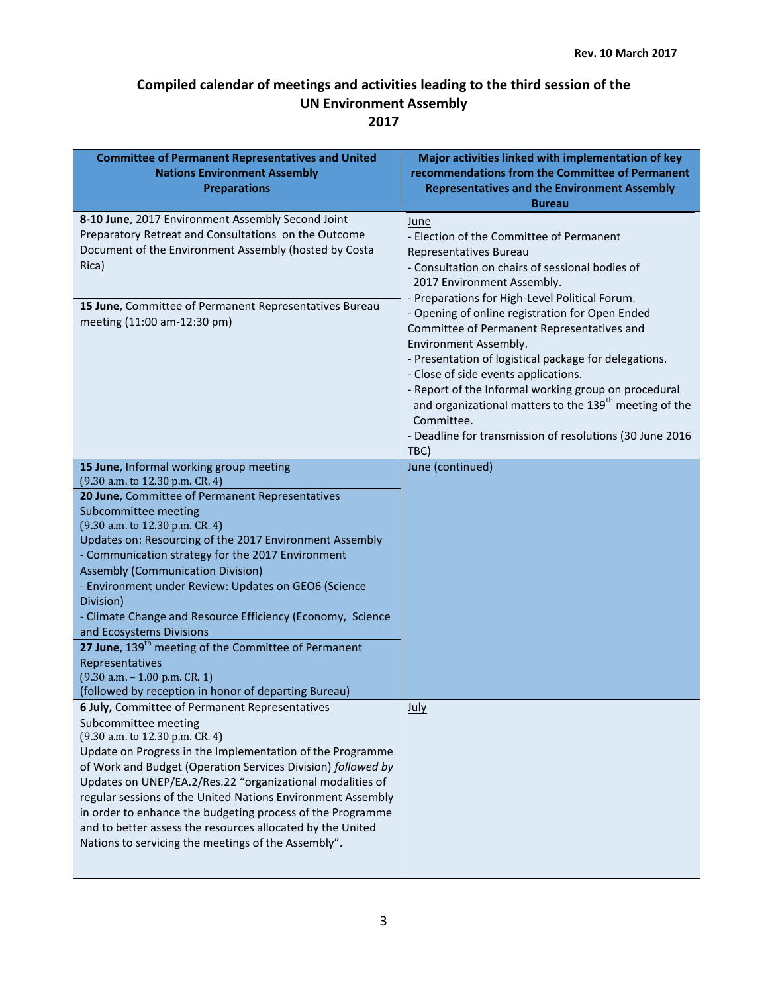| <b>Committee of Permanent Representatives and United</b><br><b>Nations Environment Assembly</b><br><b>Preparations</b>                                                                                                                                                                                                                                                                                                                                                                                                                                                                                                                                     | Major activities linked with implementation of key<br>recommendations from the Committee of Permanent<br><b>Representatives and the Environment Assembly</b><br><b>Bureau</b>                                                                                                                                                                                                                                                           |
|------------------------------------------------------------------------------------------------------------------------------------------------------------------------------------------------------------------------------------------------------------------------------------------------------------------------------------------------------------------------------------------------------------------------------------------------------------------------------------------------------------------------------------------------------------------------------------------------------------------------------------------------------------|-----------------------------------------------------------------------------------------------------------------------------------------------------------------------------------------------------------------------------------------------------------------------------------------------------------------------------------------------------------------------------------------------------------------------------------------|
| 8-10 June, 2017 Environment Assembly Second Joint<br>Preparatory Retreat and Consultations on the Outcome<br>Document of the Environment Assembly (hosted by Costa<br>Rica)                                                                                                                                                                                                                                                                                                                                                                                                                                                                                | June<br>- Election of the Committee of Permanent<br>Representatives Bureau<br>- Consultation on chairs of sessional bodies of<br>2017 Environment Assembly.<br>- Preparations for High-Level Political Forum.                                                                                                                                                                                                                           |
| 15 June, Committee of Permanent Representatives Bureau<br>meeting (11:00 am-12:30 pm)                                                                                                                                                                                                                                                                                                                                                                                                                                                                                                                                                                      | - Opening of online registration for Open Ended<br>Committee of Permanent Representatives and<br>Environment Assembly.<br>- Presentation of logistical package for delegations.<br>- Close of side events applications.<br>- Report of the Informal working group on procedural<br>and organizational matters to the 139 <sup>th</sup> meeting of the<br>Committee.<br>- Deadline for transmission of resolutions (30 June 2016<br>TBC) |
| 15 June, Informal working group meeting                                                                                                                                                                                                                                                                                                                                                                                                                                                                                                                                                                                                                    | June (continued)                                                                                                                                                                                                                                                                                                                                                                                                                        |
| (9.30 a.m. to 12.30 p.m. CR. 4)<br>20 June, Committee of Permanent Representatives<br>Subcommittee meeting<br>(9.30 a.m. to 12.30 p.m. CR. 4)<br>Updates on: Resourcing of the 2017 Environment Assembly<br>- Communication strategy for the 2017 Environment<br><b>Assembly (Communication Division)</b><br>- Environment under Review: Updates on GEO6 (Science<br>Division)<br>- Climate Change and Resource Efficiency (Economy, Science<br>and Ecosystems Divisions<br>27 June, 139 <sup>th</sup> meeting of the Committee of Permanent<br>Representatives<br>$(9.30 a.m. - 1.00 p.m. CR. 1)$<br>(followed by reception in honor of departing Bureau) |                                                                                                                                                                                                                                                                                                                                                                                                                                         |
| 6 July, Committee of Permanent Representatives<br>Subcommittee meeting<br>(9.30 a.m. to 12.30 p.m. CR. 4)<br>Update on Progress in the Implementation of the Programme<br>of Work and Budget (Operation Services Division) followed by<br>Updates on UNEP/EA.2/Res.22 "organizational modalities of<br>regular sessions of the United Nations Environment Assembly<br>in order to enhance the budgeting process of the Programme<br>and to better assess the resources allocated by the United<br>Nations to servicing the meetings of the Assembly".                                                                                                      | <b>July</b>                                                                                                                                                                                                                                                                                                                                                                                                                             |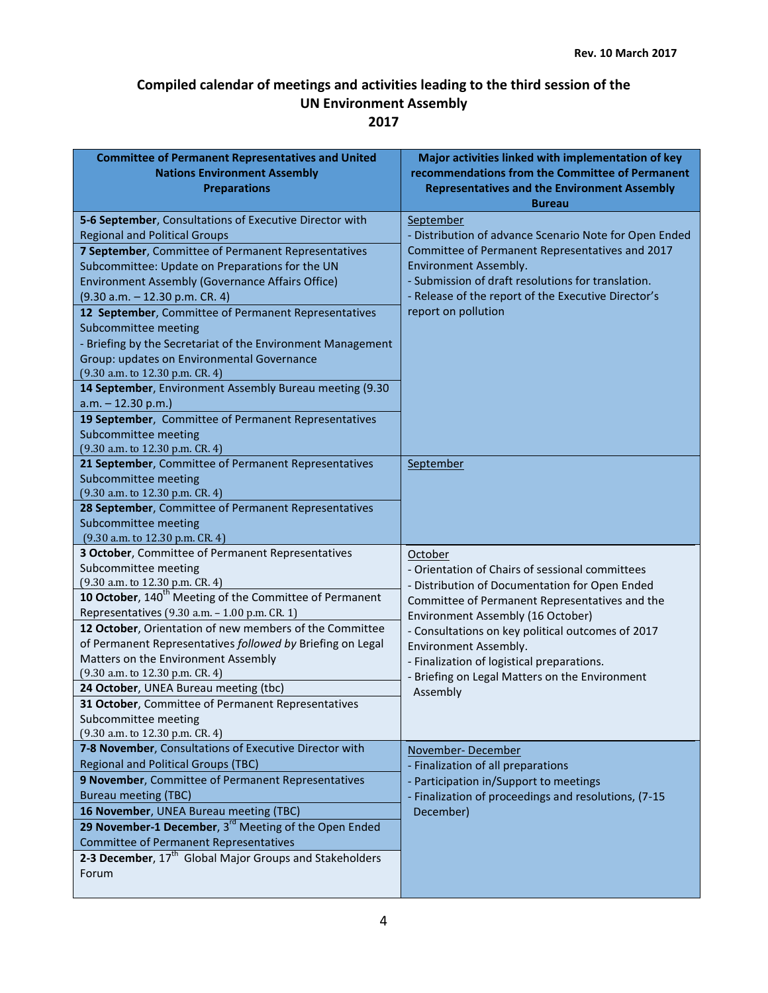| <b>Committee of Permanent Representatives and United</b><br><b>Nations Environment Assembly</b><br><b>Preparations</b>                                                                                                                                                                                                                                                                                                                                                                                                                                                                                                                                                                              | Major activities linked with implementation of key<br>recommendations from the Committee of Permanent<br><b>Representatives and the Environment Assembly</b><br><b>Bureau</b>                                                                                                                                                                                                                 |
|-----------------------------------------------------------------------------------------------------------------------------------------------------------------------------------------------------------------------------------------------------------------------------------------------------------------------------------------------------------------------------------------------------------------------------------------------------------------------------------------------------------------------------------------------------------------------------------------------------------------------------------------------------------------------------------------------------|-----------------------------------------------------------------------------------------------------------------------------------------------------------------------------------------------------------------------------------------------------------------------------------------------------------------------------------------------------------------------------------------------|
| 5-6 September, Consultations of Executive Director with<br><b>Regional and Political Groups</b><br>7 September, Committee of Permanent Representatives<br>Subcommittee: Update on Preparations for the UN<br>Environment Assembly (Governance Affairs Office)<br>$(9.30 a.m. - 12.30 p.m. CR. 4)$<br>12 September, Committee of Permanent Representatives<br>Subcommittee meeting<br>- Briefing by the Secretariat of the Environment Management<br>Group: updates on Environmental Governance<br>(9.30 a.m. to 12.30 p.m. CR. 4)<br>14 September, Environment Assembly Bureau meeting (9.30<br>$a.m. - 12.30 p.m.$<br>19 September, Committee of Permanent Representatives<br>Subcommittee meeting | September<br>- Distribution of advance Scenario Note for Open Ended<br>Committee of Permanent Representatives and 2017<br>Environment Assembly.<br>- Submission of draft resolutions for translation.<br>- Release of the report of the Executive Director's<br>report on pollution                                                                                                           |
| (9.30 a.m. to 12.30 p.m. CR. 4)<br>21 September, Committee of Permanent Representatives<br>Subcommittee meeting<br>(9.30 a.m. to 12.30 p.m. CR. 4)<br>28 September, Committee of Permanent Representatives<br>Subcommittee meeting<br>(9.30 a.m. to 12.30 p.m. CR. 4)                                                                                                                                                                                                                                                                                                                                                                                                                               | September                                                                                                                                                                                                                                                                                                                                                                                     |
| 3 October, Committee of Permanent Representatives<br>Subcommittee meeting<br>(9.30 a.m. to 12.30 p.m. CR. 4)<br>10 October, 140 <sup>th</sup> Meeting of the Committee of Permanent<br>Representatives (9.30 a.m. - 1.00 p.m. CR. 1)<br>12 October, Orientation of new members of the Committee<br>of Permanent Representatives followed by Briefing on Legal<br>Matters on the Environment Assembly<br>(9.30 a.m. to 12.30 p.m. CR. 4)<br>24 October, UNEA Bureau meeting (tbc)<br>31 October, Committee of Permanent Representatives<br>Subcommittee meeting<br>(9.30 a.m. to 12.30 p.m. CR. 4)                                                                                                   | October<br>- Orientation of Chairs of sessional committees<br>- Distribution of Documentation for Open Ended<br>Committee of Permanent Representatives and the<br>Environment Assembly (16 October)<br>- Consultations on key political outcomes of 2017<br>Environment Assembly.<br>- Finalization of logistical preparations.<br>- Briefing on Legal Matters on the Environment<br>Assembly |
| 7-8 November, Consultations of Executive Director with<br><b>Regional and Political Groups (TBC)</b><br>9 November, Committee of Permanent Representatives<br><b>Bureau meeting (TBC)</b><br>16 November, UNEA Bureau meeting (TBC)<br>29 November-1 December, 3 <sup>rd</sup> Meeting of the Open Ended<br><b>Committee of Permanent Representatives</b><br>2-3 December, 17 <sup>th</sup> Global Major Groups and Stakeholders<br>Forum                                                                                                                                                                                                                                                           | November-December<br>- Finalization of all preparations<br>- Participation in/Support to meetings<br>- Finalization of proceedings and resolutions, (7-15<br>December)                                                                                                                                                                                                                        |